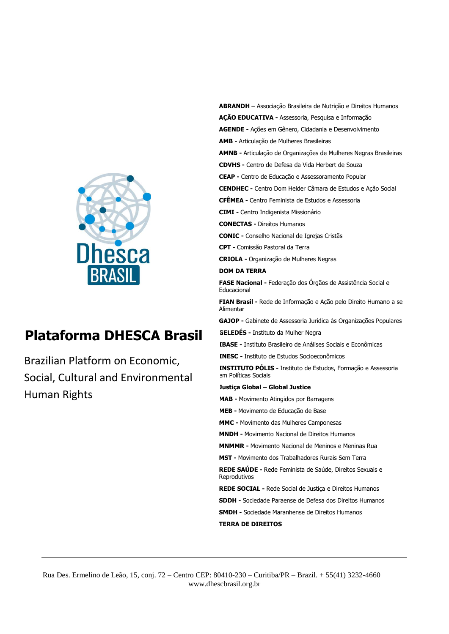

# **Plataforma DHESCA Brasil**

Brazilian Platform on Economic, Social, Cultural and Environmental Human Rights

**AGENDE -** Ações em Gênero, Cidadania e Desenvolvimento **AMB -** Articulação de Mulheres Brasileiras **AMNB -** Articulação de Organizações de Mulheres Negras Brasileiras **CDVHS -** Centro de Defesa da Vida Herbert de Souza **CEAP -** Centro de Educação e Assessoramento Popular **CENDHEC -** Centro Dom Helder Câmara de Estudos e Ação Social **CFÊMEA -** Centro Feminista de Estudos e Assessoria **CIMI -** Centro Indigenista Missionário **CONECTAS -** Direitos Humanos **CONIC -** Conselho Nacional de Igrejas Cristãs **CPT -** Comissão Pastoral da Terra **CRIOLA -** Organização de Mulheres Negras **DOM DA TERRA FASE Nacional -** Federação dos Órgãos de Assistência Social e **Educacional FIAN Brasil -** Rede de Informação e Ação pelo Direito Humano a se Alimentar **GAJOP -** Gabinete de Assessoria Jurídica às Organizações Populares **GELEDÉS -** Instituto da Mulher Negra **IBASE -** Instituto Brasileiro de Análises Sociais e Econômicas **INESC -** Instituto de Estudos Socioeconômicos **INSTITUTO PÓLIS -** Instituto de Estudos, Formação e Assessoria em Políticas Sociais **Justiça Global – Global Justice MAB -** Movimento Atingidos por Barragens **MEB -** Movimento de Educação de Base **MMC -** Movimento das Mulheres Camponesas **MNDH -** Movimento Nacional de Direitos Humanos **MNMMR -** Movimento Nacional de Meninos e Meninas Rua **MST -** Movimento dos Trabalhadores Rurais Sem Terra **REDE SAÚDE -** Rede Feminista de Saúde, Direitos Sexuais e Reprodutivos **REDE SOCIAL -** Rede Social de Justiça e Direitos Humanos **SDDH -** Sociedade Paraense de Defesa dos Direitos Humanos **SMDH -** Sociedade Maranhense de Direitos Humanos **TERRA DE DIREITOS**

**ABRANDH** – Associação Brasileira de Nutrição e Direitos Humanos

**AÇÃO EDUCATIVA -** Assessoria, Pesquisa e Informação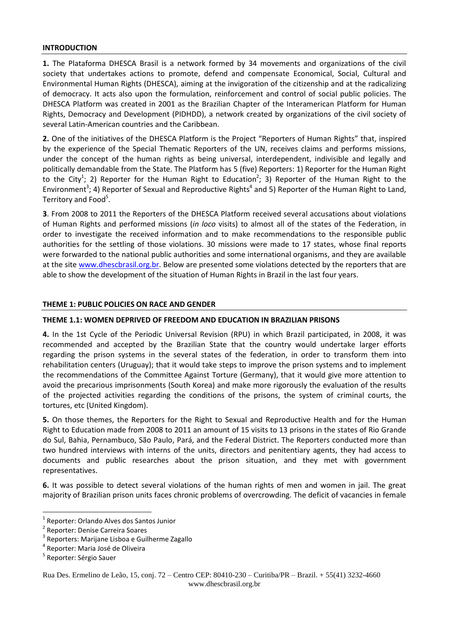#### **INTRODUCTION**

**1.** The Plataforma DHESCA Brasil is a network formed by 34 movements and organizations of the civil society that undertakes actions to promote, defend and compensate Economical, Social, Cultural and Environmental Human Rights (DHESCA), aiming at the invigoration of the citizenship and at the radicalizing of democracy. It acts also upon the formulation, reinforcement and control of social public policies. The DHESCA Platform was created in 2001 as the Brazilian Chapter of the Interamerican Platform for Human Rights, Democracy and Development (PIDHDD), a network created by organizations of the civil society of several Latin-American countries and the Caribbean.

**2.** One of the initiatives of the DHESCA Platform is the Project "Reporters of Human Rights" that, inspired by the experience of the Special Thematic Reporters of the UN, receives claims and performs missions, under the concept of the human rights as being universal, interdependent, indivisible and legally and politically demandable from the State. The Platform has 5 (five) Reporters: 1) Reporter for the Human Right to the City<sup>1</sup>; 2) Reporter for the Human Right to Education<sup>2</sup>; 3) Reporter of the Human Right to the Environment<sup>3</sup>; 4) Reporter of Sexual and Reproductive Rights<sup>4</sup> and 5) Reporter of the Human Right to Land, Territory and Food<sup>5</sup>.

**3**. From 2008 to 2011 the Reporters of the DHESCA Platform received several accusations about violations of Human Rights and performed missions (*in loco* visits) to almost all of the states of the Federation, in order to investigate the received information and to make recommendations to the responsible public authorities for the settling of those violations. 30 missions were made to 17 states, whose final reports were forwarded to the national public authorities and some international organisms, and they are available at the site [www.dhescbrasil.org.br.](http://www.dhescbrasil.org.br/) Below are presented some violations detected by the reporters that are able to show the development of the situation of Human Rights in Brazil in the last four years.

#### **THEME 1: PUBLIC POLICIES ON RACE AND GENDER**

## **THEME 1.1: WOMEN DEPRIVED OF FREEDOM AND EDUCATION IN BRAZILIAN PRISONS**

**4.** In the 1st Cycle of the Periodic Universal Revision (RPU) in which Brazil participated, in 2008, it was recommended and accepted by the Brazilian State that the country would undertake larger efforts regarding the prison systems in the several states of the federation, in order to transform them into rehabilitation centers (Uruguay); that it would take steps to improve the prison systems and to implement the recommendations of the Committee Against Torture (Germany), that it would give more attention to avoid the precarious imprisonments (South Korea) and make more rigorously the evaluation of the results of the projected activities regarding the conditions of the prisons, the system of criminal courts, the tortures, etc (United Kingdom).

**5.** On those themes, the Reporters for the Right to Sexual and Reproductive Health and for the Human Right to Education made from 2008 to 2011 an amount of 15 visits to 13 prisons in the states of Rio Grande do Sul, Bahia, Pernambuco, São Paulo, Pará, and the Federal District. The Reporters conducted more than two hundred interviews with interns of the units, directors and penitentiary agents, they had access to documents and public researches about the prison situation, and they met with government representatives.

**6.** It was possible to detect several violations of the human rights of men and women in jail. The great majority of Brazilian prison units faces chronic problems of overcrowding. The deficit of vacancies in female

**.** 

<sup>1</sup> Reporter: Orlando Alves dos Santos Junior

<sup>2</sup> Reporter: Denise Carreira Soares

<sup>&</sup>lt;sup>3</sup> Reporters: Marijane Lisboa e Guilherme Zagallo

<sup>4</sup> Reporter: Maria José de Oliveira

<sup>&</sup>lt;sup>5</sup> Reporter: Sérgio Sauer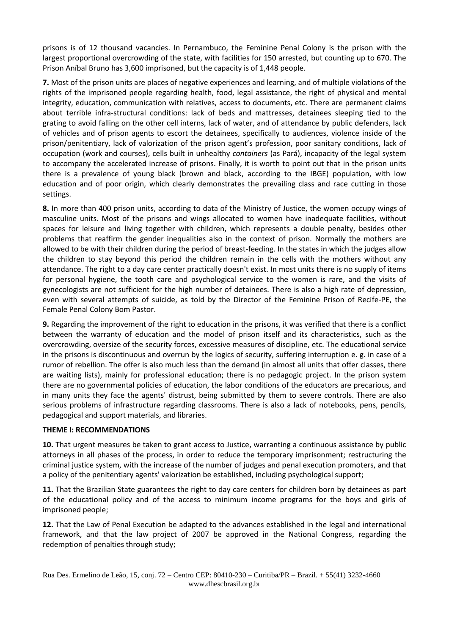prisons is of 12 thousand vacancies. In Pernambuco, the Feminine Penal Colony is the prison with the largest proportional overcrowding of the state, with facilities for 150 arrested, but counting up to 670. The Prison Aníbal Bruno has 3,600 imprisoned, but the capacity is of 1,448 people.

**7.** Most of the prison units are places of negative experiences and learning, and of multiple violations of the rights of the imprisoned people regarding health, food, legal assistance, the right of physical and mental integrity, education, communication with relatives, access to documents, etc. There are permanent claims about terrible infra-structural conditions: lack of beds and mattresses, detainees sleeping tied to the grating to avoid falling on the other cell interns, lack of water, and of attendance by public defenders, lack of vehicles and of prison agents to escort the detainees, specifically to audiences, violence inside of the prison/penitentiary, lack of valorization of the prison agent's profession, poor sanitary conditions, lack of occupation (work and courses), cells built in unhealthy *containers* (as Pará), incapacity of the legal system to accompany the accelerated increase of prisons. Finally, it is worth to point out that in the prison units there is a prevalence of young black (brown and black, according to the IBGE) population, with low education and of poor origin, which clearly demonstrates the prevailing class and race cutting in those settings.

**8.** In more than 400 prison units, according to data of the Ministry of Justice, the women occupy wings of masculine units. Most of the prisons and wings allocated to women have inadequate facilities, without spaces for leisure and living together with children, which represents a double penalty, besides other problems that reaffirm the gender inequalities also in the context of prison. Normally the mothers are allowed to be with their children during the period of breast-feeding. In the states in which the judges allow the children to stay beyond this period the children remain in the cells with the mothers without any attendance. The right to a day care center practically doesn't exist. In most units there is no supply of items for personal hygiene, the tooth care and psychological service to the women is rare, and the visits of gynecologists are not sufficient for the high number of detainees. There is also a high rate of depression, even with several attempts of suicide, as told by the Director of the Feminine Prison of Recife-PE, the Female Penal Colony Bom Pastor.

**9.** Regarding the improvement of the right to education in the prisons, it was verified that there is a conflict between the warranty of education and the model of prison itself and its characteristics, such as the overcrowding, oversize of the security forces, excessive measures of discipline, etc. The educational service in the prisons is discontinuous and overrun by the logics of security, suffering interruption e. g. in case of a rumor of rebellion. The offer is also much less than the demand (in almost all units that offer classes, there are waiting lists), mainly for professional education; there is no pedagogic project. In the prison system there are no governmental policies of education, the labor conditions of the educators are precarious, and in many units they face the agents' distrust, being submitted by them to severe controls. There are also serious problems of infrastructure regarding classrooms. There is also a lack of notebooks, pens, pencils, pedagogical and support materials, and libraries.

#### **THEME I: RECOMMENDATIONS**

**10.** That urgent measures be taken to grant access to Justice, warranting a continuous assistance by public attorneys in all phases of the process, in order to reduce the temporary imprisonment; restructuring the criminal justice system, with the increase of the number of judges and penal execution promoters, and that a policy of the penitentiary agents' valorization be established, including psychological support;

**11.** That the Brazilian State guarantees the right to day care centers for children born by detainees as part of the educational policy and of the access to minimum income programs for the boys and girls of imprisoned people;

**12.** That the Law of Penal Execution be adapted to the advances established in the legal and international framework, and that the law project of 2007 be approved in the National Congress, regarding the redemption of penalties through study;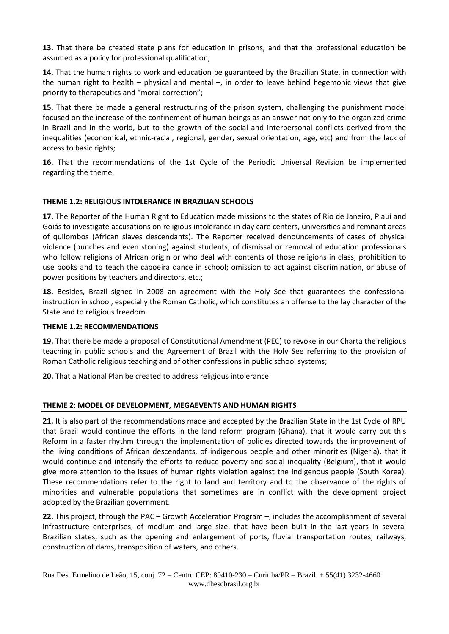**13.** That there be created state plans for education in prisons, and that the professional education be assumed as a policy for professional qualification;

**14.** That the human rights to work and education be guaranteed by the Brazilian State, in connection with the human right to health – physical and mental –, in order to leave behind hegemonic views that give priority to therapeutics and "moral correction";

**15.** That there be made a general restructuring of the prison system, challenging the punishment model focused on the increase of the confinement of human beings as an answer not only to the organized crime in Brazil and in the world, but to the growth of the social and interpersonal conflicts derived from the inequalities (economical, ethnic-racial, regional, gender, sexual orientation, age, etc) and from the lack of access to basic rights;

**16.** That the recommendations of the 1st Cycle of the Periodic Universal Revision be implemented regarding the theme.

### **THEME 1.2: RELIGIOUS INTOLERANCE IN BRAZILIAN SCHOOLS**

**17.** The Reporter of the Human Right to Education made missions to the states of Rio de Janeiro, Piauí and Goiás to investigate accusations on religious intolerance in day care centers, universities and remnant areas of quilombos (African slaves descendants). The Reporter received denouncements of cases of physical violence (punches and even stoning) against students; of dismissal or removal of education professionals who follow religions of African origin or who deal with contents of those religions in class; prohibition to use books and to teach the capoeira dance in school; omission to act against discrimination, or abuse of power positions by teachers and directors, etc.;

**18.** Besides, Brazil signed in 2008 an agreement with the Holy See that guarantees the confessional instruction in school, especially the Roman Catholic, which constitutes an offense to the lay character of the State and to religious freedom.

#### **THEME 1.2: RECOMMENDATIONS**

**19.** That there be made a proposal of Constitutional Amendment (PEC) to revoke in our Charta the religious teaching in public schools and the Agreement of Brazil with the Holy See referring to the provision of Roman Catholic religious teaching and of other confessions in public school systems;

**20.** That a National Plan be created to address religious intolerance.

# **THEME 2: MODEL OF DEVELOPMENT, MEGAEVENTS AND HUMAN RIGHTS**

**21.** It is also part of the recommendations made and accepted by the Brazilian State in the 1st Cycle of RPU that Brazil would continue the efforts in the land reform program (Ghana), that it would carry out this Reform in a faster rhythm through the implementation of policies directed towards the improvement of the living conditions of African descendants, of indigenous people and other minorities (Nigeria), that it would continue and intensify the efforts to reduce poverty and social inequality (Belgium), that it would give more attention to the issues of human rights violation against the indigenous people (South Korea). These recommendations refer to the right to land and territory and to the observance of the rights of minorities and vulnerable populations that sometimes are in conflict with the development project adopted by the Brazilian government.

**22.** This project, through the PAC – Growth Acceleration Program –, includes the accomplishment of several infrastructure enterprises, of medium and large size, that have been built in the last years in several Brazilian states, such as the opening and enlargement of ports, fluvial transportation routes, railways, construction of dams, transposition of waters, and others.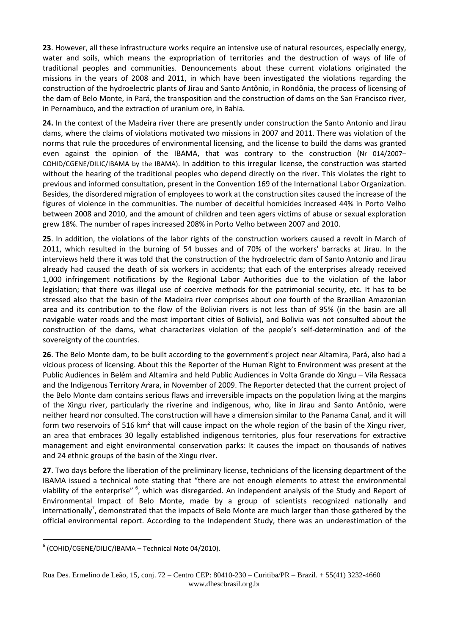**23**. However, all these infrastructure works require an intensive use of natural resources, especially energy, water and soils, which means the expropriation of territories and the destruction of ways of life of traditional peoples and communities. Denouncements about these current violations originated the missions in the years of 2008 and 2011, in which have been investigated the violations regarding the construction of the hydroelectric plants of Jirau and Santo Antônio, in Rondônia, the process of licensing of the dam of Belo Monte, in Pará, the transposition and the construction of dams on the San Francisco river, in Pernambuco, and the extraction of uranium ore, in Bahia.

**24.** In the context of the Madeira river there are presently under construction the Santo Antonio and Jirau dams, where the claims of violations motivated two missions in 2007 and 2011. There was violation of the norms that rule the procedures of environmental licensing, and the license to build the dams was granted even against the opinion of the IBAMA, that was contrary to the construction (Nr 014/2007– COHID/CGENE/DILIC/IBAMA by the IBAMA). In addition to this irregular license, the construction was started without the hearing of the traditional peoples who depend directly on the river. This violates the right to previous and informed consultation, present in the Convention 169 of the International Labor Organization. Besides, the disordered migration of employees to work at the construction sites caused the increase of the figures of violence in the communities. The number of deceitful homicides increased 44% in Porto Velho between 2008 and 2010, and the amount of children and teen agers victims of abuse or sexual exploration grew 18%. The number of rapes increased 208% in Porto Velho between 2007 and 2010.

**25**. In addition, the violations of the labor rights of the construction workers caused a revolt in March of 2011, which resulted in the burning of 54 busses and of 70% of the workers' barracks at Jirau. In the interviews held there it was told that the construction of the hydroelectric dam of Santo Antonio and Jirau already had caused the death of six workers in accidents; that each of the enterprises already received 1,000 infringement notifications by the Regional Labor Authorities due to the violation of the labor legislation; that there was illegal use of coercive methods for the patrimonial security, etc. It has to be stressed also that the basin of the Madeira river comprises about one fourth of the Brazilian Amazonian area and its contribution to the flow of the Bolivian rivers is not less than of 95% (in the basin are all navigable water roads and the most important cities of Bolivia), and Bolivia was not consulted about the construction of the dams, what characterizes violation of the people's self-determination and of the sovereignty of the countries.

**26**. The Belo Monte dam, to be built according to the government's project near Altamira, Pará, also had a vicious process of licensing. About this the Reporter of the Human Right to Environment was present at the Public Audiences in Belém and Altamira and held Public Audiences in Volta Grande do Xingu – Vila Ressaca and the Indigenous Territory Arara, in November of 2009. The Reporter detected that the current project of the Belo Monte dam contains serious flaws and irreversible impacts on the population living at the margins of the Xingu river, particularly the riverine and indigenous, who, like in Jirau and Santo Antônio, were neither heard nor consulted. The construction will have a dimension similar to the Panama Canal, and it will form two reservoirs of 516 km<sup>2</sup> that will cause impact on the whole region of the basin of the Xingu river, an area that embraces 30 legally established indigenous territories, plus four reservations for extractive management and eight environmental conservation parks: It causes the impact on thousands of natives and 24 ethnic groups of the basin of the Xingu river.

**27**. Two days before the liberation of the preliminary license, technicians of the licensing department of the IBAMA issued a technical note stating that "there are not enough elements to attest the environmental viability of the enterprise" <sup>6</sup>, which was disregarded. An independent analysis of the Study and Report of Environmental Impact of Belo Monte, made by a group of scientists recognized nationally and internationally<sup>7</sup>, demonstrated that the impacts of Belo Monte are much larger than those gathered by the official environmental report. According to the Independent Study, there was an underestimation of the

**<sup>.</sup>** 6 (COHID/CGENE/DILIC/IBAMA – Technical Note 04/2010).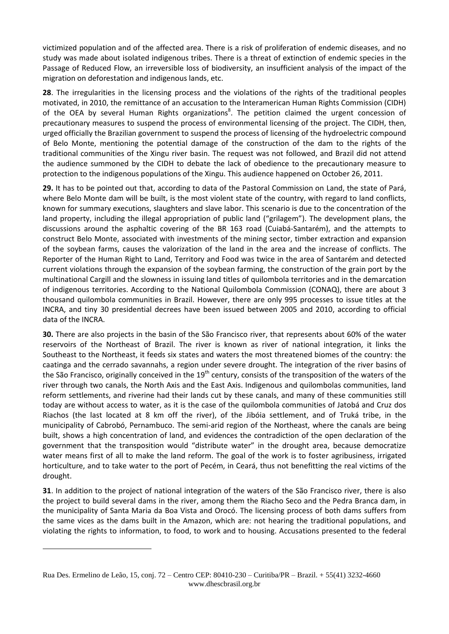victimized population and of the affected area. There is a risk of proliferation of endemic diseases, and no study was made about isolated indigenous tribes. There is a threat of extinction of endemic species in the Passage of Reduced Flow, an irreversible loss of biodiversity, an insufficient analysis of the impact of the migration on deforestation and indigenous lands, etc.

**28**. The irregularities in the licensing process and the violations of the rights of the traditional peoples motivated, in 2010, the remittance of an accusation to the Interamerican Human Rights Commission (CIDH) of the OEA by several Human Rights organizations<sup>8</sup>. The petition claimed the urgent concession of precautionary measures to suspend the process of environmental licensing of the project. The CIDH, then, urged officially the Brazilian government to suspend the process of licensing of the hydroelectric compound of Belo Monte, mentioning the potential damage of the construction of the dam to the rights of the traditional communities of the Xingu river basin. The request was not followed, and Brazil did not attend the audience summoned by the CIDH to debate the lack of obedience to the precautionary measure to protection to the indigenous populations of the Xingu. This audience happened on October 26, 2011.

**29.** It has to be pointed out that, according to data of the Pastoral Commission on Land, the state of Pará, where Belo Monte dam will be built, is the most violent state of the country, with regard to land conflicts, known for summary executions, slaughters and slave labor. This scenario is due to the concentration of the land property, including the illegal appropriation of public land ("grilagem"). The development plans, the discussions around the asphaltic covering of the BR 163 road (Cuiabá-Santarém), and the attempts to construct Belo Monte, associated with investments of the mining sector, timber extraction and expansion of the soybean farms, causes the valorization of the land in the area and the increase of conflicts. The Reporter of the Human Right to Land, Territory and Food was twice in the area of Santarém and detected current violations through the expansion of the soybean farming, the construction of the grain port by the multinational Cargill and the slowness in issuing land titles of quilombola territories and in the demarcation of indigenous territories. According to the National Quilombola Commission (CONAQ), there are about 3 thousand quilombola communities in Brazil. However, there are only 995 processes to issue titles at the INCRA, and tiny 30 presidential decrees have been issued between 2005 and 2010, according to official data of the INCRA.

**30.** There are also projects in the basin of the São Francisco river, that represents about 60% of the water reservoirs of the Northeast of Brazil. The river is known as river of national integration, it links the Southeast to the Northeast, it feeds six states and waters the most threatened biomes of the country: the caatinga and the cerrado savannahs, a region under severe drought. The integration of the river basins of the São Francisco, originally conceived in the 19<sup>th</sup> century, consists of the transposition of the waters of the river through two canals, the North Axis and the East Axis. Indigenous and quilombolas communities, land reform settlements, and riverine had their lands cut by these canals, and many of these communities still today are without access to water, as it is the case of the quilombola communities of Jatobá and Cruz dos Riachos (the last located at 8 km off the river), of the Jibóia settlement, and of Truká tribe, in the municipality of Cabrobó, Pernambuco. The semi-arid region of the Northeast, where the canals are being built, shows a high concentration of land, and evidences the contradiction of the open declaration of the government that the transposition would "distribute water" in the drought area, because democratize water means first of all to make the land reform. The goal of the work is to foster agribusiness, irrigated horticulture, and to take water to the port of Pecém, in Ceará, thus not benefitting the real victims of the drought.

**31**. In addition to the project of national integration of the waters of the São Francisco river, there is also the project to build several dams in the river, among them the Riacho Seco and the Pedra Branca dam, in the municipality of Santa Maria da Boa Vista and Orocó. The licensing process of both dams suffers from the same vices as the dams built in the Amazon, which are: not hearing the traditional populations, and violating the rights to information, to food, to work and to housing. Accusations presented to the federal

1

Rua Des. Ermelino de Leão, 15, conj. 72 – Centro CEP: 80410-230 – Curitiba/PR – Brazil. + 55(41) 3232-4660 www.dhescbrasil.org.br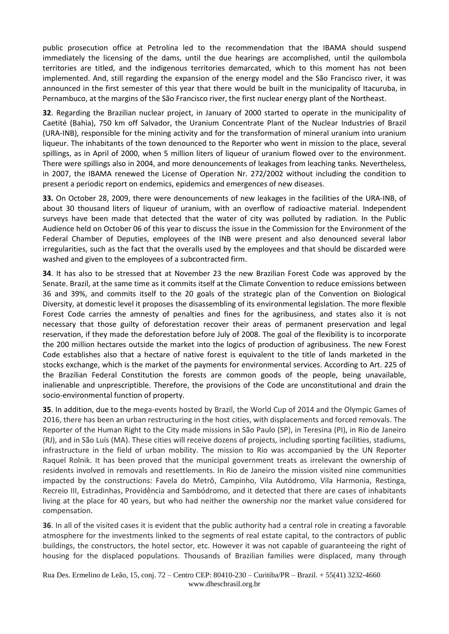public prosecution office at Petrolina led to the recommendation that the IBAMA should suspend immediately the licensing of the dams, until the due hearings are accomplished, until the quilombola territories are titled, and the indigenous territories demarcated, which to this moment has not been implemented. And, still regarding the expansion of the energy model and the São Francisco river, it was announced in the first semester of this year that there would be built in the municipality of Itacuruba, in Pernambuco, at the margins of the São Francisco river, the first nuclear energy plant of the Northeast.

**32**. Regarding the Brazilian nuclear project, in January of 2000 started to operate in the municipality of Caetité (Bahia), 750 km off Salvador, the Uranium Concentrate Plant of the Nuclear Industries of Brazil (URA-INB), responsible for the mining activity and for the transformation of mineral uranium into uranium liqueur. The inhabitants of the town denounced to the Reporter who went in mission to the place, several spillings, as in April of 2000, when 5 million liters of liqueur of uranium flowed over to the environment. There were spillings also in 2004, and more denouncements of leakages from leaching tanks. Nevertheless, in 2007, the IBAMA renewed the License of Operation Nr. 272/2002 without including the condition to present a periodic report on endemics, epidemics and emergences of new diseases.

**33.** On October 28, 2009, there were denouncements of new leakages in the facilities of the URA-INB, of about 30 thousand liters of liqueur of uranium, with an overflow of radioactive material. Independent surveys have been made that detected that the water of city was polluted by radiation. In the Public Audience held on October 06 of this year to discuss the issue in the Commission for the Environment of the Federal Chamber of Deputies, employees of the INB were present and also denounced several labor irregularities, such as the fact that the overalls used by the employees and that should be discarded were washed and given to the employees of a subcontracted firm.

**34**. It has also to be stressed that at November 23 the new Brazilian Forest Code was approved by the Senate. Brazil, at the same time as it commits itself at the Climate Convention to reduce emissions between 36 and 39%, and commits itself to the 20 goals of the strategic plan of the Convention on Biological Diversity, at domestic level it proposes the disassembling of its environmental legislation. The more flexible Forest Code carries the amnesty of penalties and fines for the agribusiness, and states also it is not necessary that those guilty of deforestation recover their areas of permanent preservation and legal reservation, if they made the deforestation before July of 2008. The goal of the flexibility is to incorporate the 200 million hectares outside the market into the logics of production of agribusiness. The new Forest Code establishes also that a hectare of native forest is equivalent to the title of lands marketed in the stocks exchange, which is the market of the payments for environmental services. According to Art. 225 of the Brazilian Federal Constitution the forests are common goods of the people, being unavailable, inalienable and unprescriptible. Therefore, the provisions of the Code are unconstitutional and drain the socio-environmental function of property.

**35**. In addition, due to the mega-events hosted by Brazil, the World Cup of 2014 and the Olympic Games of 2016, there has been an urban restructuring in the host cities, with displacements and forced removals. The Reporter of the Human Right to the City made missions in São Paulo (SP), in Teresina (PI), in Rio de Janeiro (RJ), and in São Luís (MA). These cities will receive dozens of projects, including sporting facilities, stadiums, infrastructure in the field of urban mobility. The mission to Rio was accompanied by the UN Reporter Raquel Rolnik. It has been proved that the municipal government treats as irrelevant the ownership of residents involved in removals and resettlements. In Rio de Janeiro the mission visited nine communities impacted by the constructions: Favela do Metrô, Campinho, Vila Autódromo, Vila Harmonia, Restinga, Recreio III, Estradinhas, Providência and Sambódromo, and it detected that there are cases of inhabitants living at the place for 40 years, but who had neither the ownership nor the market value considered for compensation.

**36**. In all of the visited cases it is evident that the public authority had a central role in creating a favorable atmosphere for the investments linked to the segments of real estate capital, to the contractors of public buildings, the constructors, the hotel sector, etc. However it was not capable of guaranteeing the right of housing for the displaced populations. Thousands of Brazilian families were displaced, many through

Rua Des. Ermelino de Leão, 15, conj. 72 – Centro CEP: 80410-230 – Curitiba/PR – Brazil. + 55(41) 3232-4660 www.dhescbrasil.org.br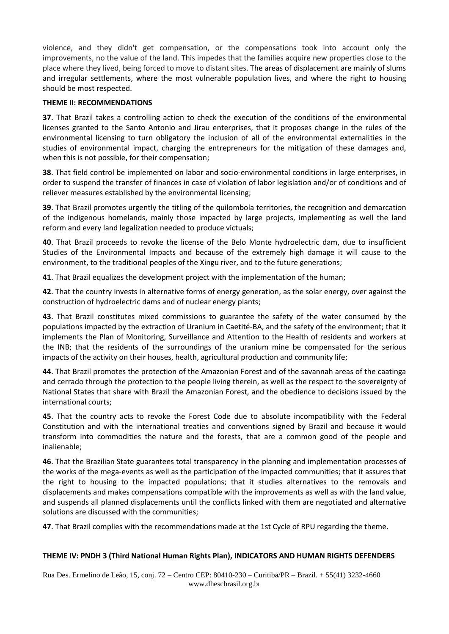violence, and they didn't get compensation, or the compensations took into account only the improvements, no the value of the land. This impedes that the families acquire new properties close to the place where they lived, being forced to move to distant sites. The areas of displacement are mainly of slums and irregular settlements, where the most vulnerable population lives, and where the right to housing should be most respected.

## **THEME II: RECOMMENDATIONS**

**37**. That Brazil takes a controlling action to check the execution of the conditions of the environmental licenses granted to the Santo Antonio and Jirau enterprises, that it proposes change in the rules of the environmental licensing to turn obligatory the inclusion of all of the environmental externalities in the studies of environmental impact, charging the entrepreneurs for the mitigation of these damages and, when this is not possible, for their compensation;

**38**. That field control be implemented on labor and socio-environmental conditions in large enterprises, in order to suspend the transfer of finances in case of violation of labor legislation and/or of conditions and of reliever measures established by the environmental licensing;

**39**. That Brazil promotes urgently the titling of the quilombola territories, the recognition and demarcation of the indigenous homelands, mainly those impacted by large projects, implementing as well the land reform and every land legalization needed to produce victuals;

**40**. That Brazil proceeds to revoke the license of the Belo Monte hydroelectric dam, due to insufficient Studies of the Environmental Impacts and because of the extremely high damage it will cause to the environment, to the traditional peoples of the Xingu river, and to the future generations;

**41**. That Brazil equalizes the development project with the implementation of the human;

**42**. That the country invests in alternative forms of energy generation, as the solar energy, over against the construction of hydroelectric dams and of nuclear energy plants;

**43**. That Brazil constitutes mixed commissions to guarantee the safety of the water consumed by the populations impacted by the extraction of Uranium in Caetité-BA, and the safety of the environment; that it implements the Plan of Monitoring, Surveillance and Attention to the Health of residents and workers at the INB; that the residents of the surroundings of the uranium mine be compensated for the serious impacts of the activity on their houses, health, agricultural production and community life;

**44**. That Brazil promotes the protection of the Amazonian Forest and of the savannah areas of the caatinga and cerrado through the protection to the people living therein, as well as the respect to the sovereignty of National States that share with Brazil the Amazonian Forest, and the obedience to decisions issued by the international courts;

**45**. That the country acts to revoke the Forest Code due to absolute incompatibility with the Federal Constitution and with the international treaties and conventions signed by Brazil and because it would transform into commodities the nature and the forests, that are a common good of the people and inalienable;

**46**. That the Brazilian State guarantees total transparency in the planning and implementation processes of the works of the mega-events as well as the participation of the impacted communities; that it assures that the right to housing to the impacted populations; that it studies alternatives to the removals and displacements and makes compensations compatible with the improvements as well as with the land value, and suspends all planned displacements until the conflicts linked with them are negotiated and alternative solutions are discussed with the communities;

**47**. That Brazil complies with the recommendations made at the 1st Cycle of RPU regarding the theme.

# **THEME IV: PNDH 3 (Third National Human Rights Plan), INDICATORS AND HUMAN RIGHTS DEFENDERS**

Rua Des. Ermelino de Leão, 15, conj. 72 – Centro CEP: 80410-230 – Curitiba/PR – Brazil. + 55(41) 3232-4660 www.dhescbrasil.org.br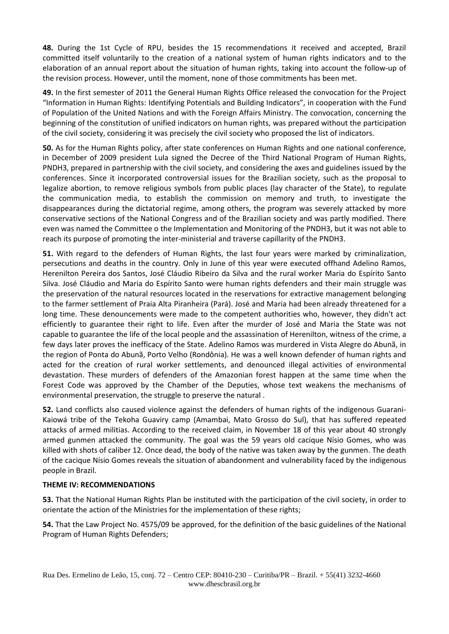**48.** During the 1st Cycle of RPU, besides the 15 recommendations it received and accepted, Brazil committed itself voluntarily to the creation of a national system of human rights indicators and to the elaboration of an annual report about the situation of human rights, taking into account the follow-up of the revision process. However, until the moment, none of those commitments has been met.

**49.** In the first semester of 2011 the General Human Rights Office released the convocation for the Project "Information in Human Rights: Identifying Potentials and Building Indicators", in cooperation with the Fund of Population of the United Nations and with the Foreign Affairs Ministry. The convocation, concerning the beginning of the constitution of unified indicators on human rights, was prepared without the participation of the civil society, considering it was precisely the civil society who proposed the list of indicators.

**50.** As for the Human Rights policy, after state conferences on Human Rights and one national conference, in December of 2009 president Lula signed the Decree of the Third National Program of Human Rights, PNDH3, prepared in partnership with the civil society, and considering the axes and guidelines issued by the conferences. Since it incorporated controversial issues for the Brazilian society, such as the proposal to legalize abortion, to remove religious symbols from public places (lay character of the State), to regulate the communication media, to establish the commission on memory and truth, to investigate the disappearances during the dictatorial regime, among others, the program was severely attacked by more conservative sections of the National Congress and of the Brazilian society and was partly modified. There even was named the Committee o the Implementation and Monitoring of the PNDH3, but it was not able to reach its purpose of promoting the inter-ministerial and traverse capillarity of the PNDH3.

**51.** With regard to the defenders of Human Rights, the last four years were marked by criminalization, persecutions and deaths in the country. Only in June of this year were executed offhand Adelino Ramos, Herenilton Pereira dos Santos, José Cláudio Ribeiro da Silva and the rural worker Maria do Espírito Santo Silva. José Cláudio and Maria do Espírito Santo were human rights defenders and their main struggle was the preservation of the natural resources located in the reservations for extractive management belonging to the farmer settlement of Praia Alta Piranheira (Pará). José and Maria had been already threatened for a long time. These denouncements were made to the competent authorities who, however, they didn't act efficiently to guarantee their right to life. Even after the murder of José and Maria the State was not capable to guarantee the life of the local people and the assassination of Herenilton, witness of the crime, a few days later proves the inefficacy of the State. Adelino Ramos was murdered in Vista Alegre do Abunã, in the region of Ponta do Abunã, Porto Velho (Rondônia). He was a well known defender of human rights and acted for the creation of rural worker settlements, and denounced illegal activities of environmental devastation. These murders of defenders of the Amazonian forest happen at the same time when the Forest Code was approved by the Chamber of the Deputies, whose text weakens the mechanisms of environmental preservation, the struggle to preserve the natural .

**52.** Land conflicts also caused violence against the defenders of human rights of the indigenous Guarani-Kaiowá tribe of the Tekoha Guaviry camp (Amambai, Mato Grosso do Sul), that has suffered repeated attacks of armed militias. According to the received claim, in November 18 of this year about 40 strongly armed gunmen attacked the community. The goal was the 59 years old cacique Nísio Gomes, who was killed with shots of caliber 12. Once dead, the body of the native was taken away by the gunmen. The death of the cacique Nísio Gomes reveals the situation of abandonment and vulnerability faced by the indigenous people in Brazil.

# **THEME IV: RECOMMENDATIONS**

**53.** That the National Human Rights Plan be instituted with the participation of the civil society, in order to orientate the action of the Ministries for the implementation of these rights;

**54.** That the Law Project No. 4575/09 be approved, for the definition of the basic guidelines of the National Program of Human Rights Defenders;